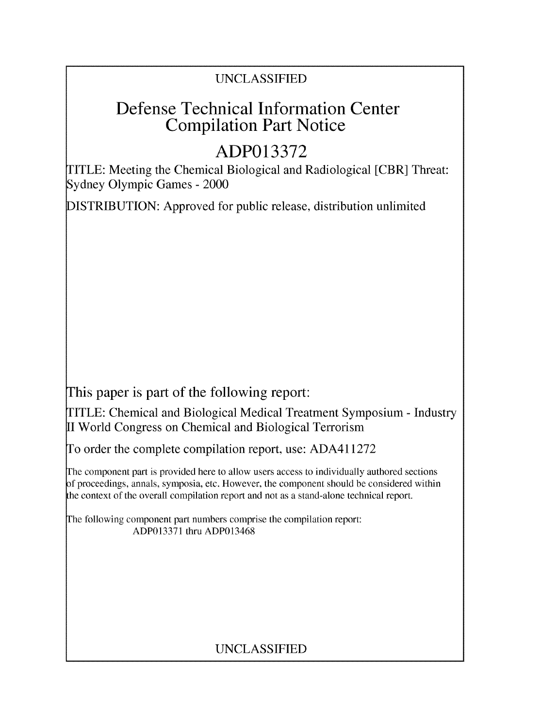### UNCLASSIFIED

## Defense Technical Information Center Compilation Part Notice

# **ADP013372**

TITLE: Meeting the Chemical Biological and Radiological [CBR] Threat: Sydney Olympic Games - 2000

DISTRIBUTION: Approved for public release, distribution unlimited

This paper is part of the following report:

TITLE: Chemical and Biological Medical Treatment Symposium - Industry II World Congress on Chemical and Biological Terrorism

To order the complete compilation report, use: ADA411272

The component part is provided here to allow users access to individually authored sections f proceedings, annals, symposia, etc. However, the component should be considered within the context of the overall compilation report and not as a stand-alone technical report.

The following component part numbers comprise the compilation report: ADP013371 thru ADP013468

### UNCLASSIFIED